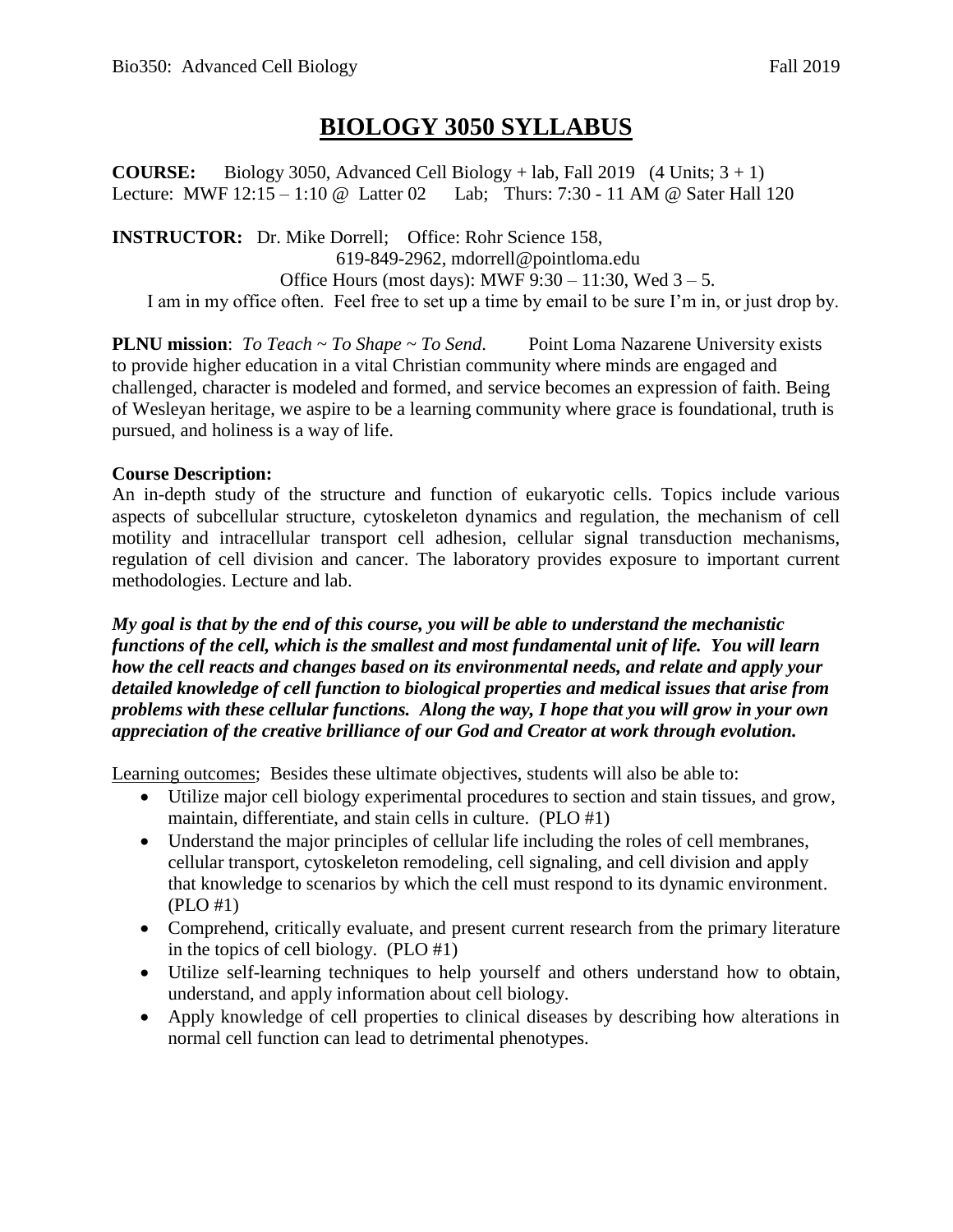## **BIOLOGY 3050 SYLLABUS**

**COURSE:** Biology 3050, Advanced Cell Biology + lab, Fall 2019 (4 Units;  $3 + 1$ ) Lecture: MWF 12:15 – 1:10 @ Latter 02 Lab; Thurs: 7:30 - 11 AM @ Sater Hall 120

**INSTRUCTOR:** Dr. Mike Dorrell; Office: Rohr Science 158, 619-849-2962, mdorrell@pointloma.edu Office Hours (most days): MWF  $9:30 - 11:30$ , Wed  $3 - 5$ . I am in my office often. Feel free to set up a time by email to be sure I'm in, or just drop by.

**PLNU mission**: *To Teach ~ To Shape ~ To Send*. Point Loma Nazarene University exists to provide higher education in a vital Christian community where minds are engaged and challenged, character is modeled and formed, and service becomes an expression of faith. Being of Wesleyan heritage, we aspire to be a learning community where grace is foundational, truth is pursued, and holiness is a way of life.

## **Course Description:**

An in-depth study of the structure and function of eukaryotic cells. Topics include various aspects of subcellular structure, cytoskeleton dynamics and regulation, the mechanism of cell motility and intracellular transport cell adhesion, cellular signal transduction mechanisms, regulation of cell division and cancer. The laboratory provides exposure to important current methodologies. Lecture and lab.

*My goal is that by the end of this course, you will be able to understand the mechanistic functions of the cell, which is the smallest and most fundamental unit of life. You will learn how the cell reacts and changes based on its environmental needs, and relate and apply your detailed knowledge of cell function to biological properties and medical issues that arise from problems with these cellular functions. Along the way, I hope that you will grow in your own appreciation of the creative brilliance of our God and Creator at work through evolution.* 

Learning outcomes; Besides these ultimate objectives, students will also be able to:

- Utilize major cell biology experimental procedures to section and stain tissues, and grow, maintain, differentiate, and stain cells in culture. (PLO #1)
- Understand the major principles of cellular life including the roles of cell membranes, cellular transport, cytoskeleton remodeling, cell signaling, and cell division and apply that knowledge to scenarios by which the cell must respond to its dynamic environment. (PLO #1)
- Comprehend, critically evaluate, and present current research from the primary literature in the topics of cell biology. (PLO #1)
- Utilize self-learning techniques to help yourself and others understand how to obtain, understand, and apply information about cell biology.
- Apply knowledge of cell properties to clinical diseases by describing how alterations in normal cell function can lead to detrimental phenotypes.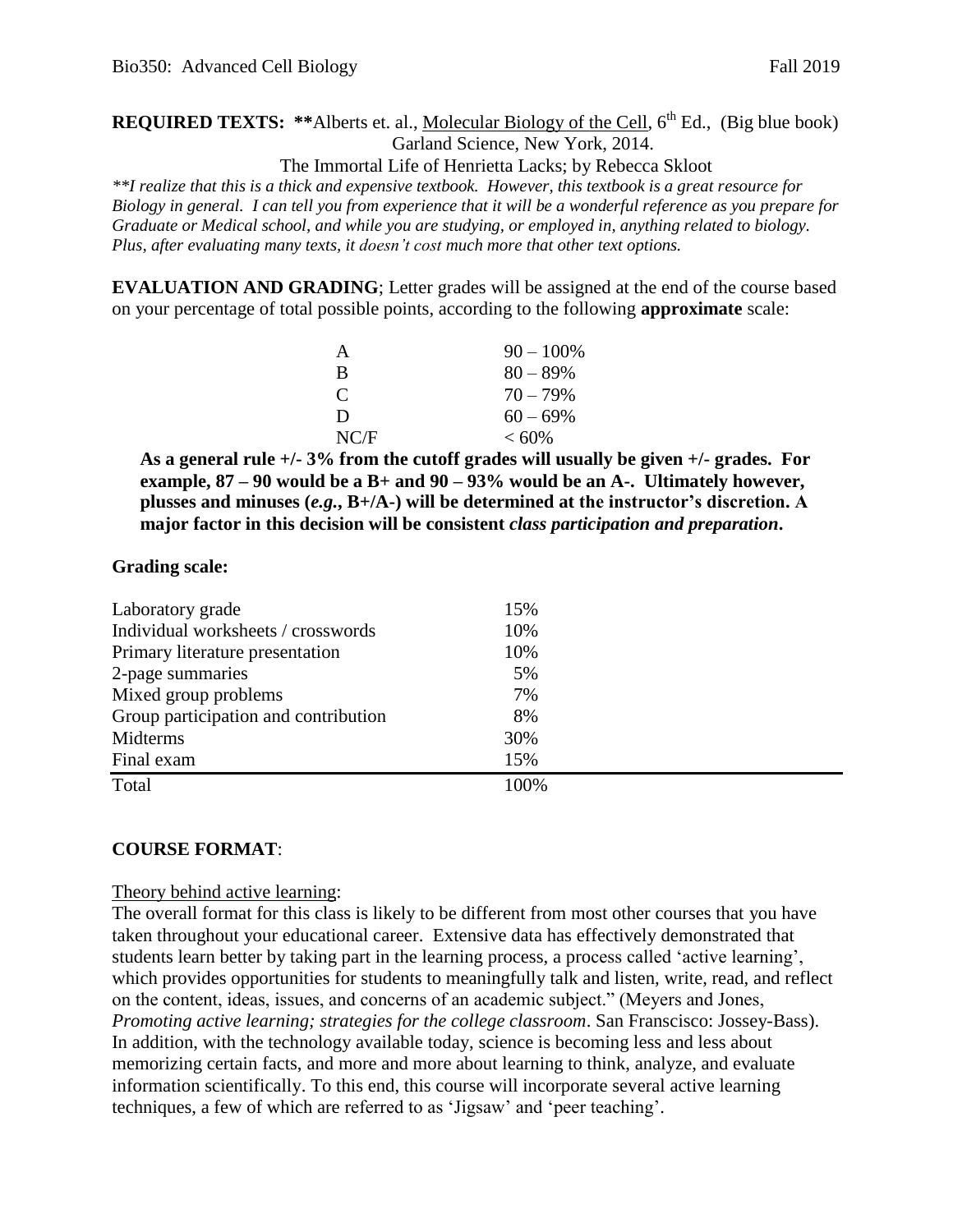## **REQUIRED TEXTS:** \*\*Alberts et. al., Molecular Biology of the Cell, 6<sup>th</sup> Ed., (Big blue book) Garland Science, New York, 2014.

The Immortal Life of Henrietta Lacks; by Rebecca Skloot

*\*\*I realize that this is a thick and expensive textbook. However, this textbook is a great resource for Biology in general. I can tell you from experience that it will be a wonderful reference as you prepare for Graduate or Medical school, and while you are studying, or employed in, anything related to biology. Plus, after evaluating many texts, it doesn't cost much more that other text options.* 

**EVALUATION AND GRADING**; Letter grades will be assigned at the end of the course based on your percentage of total possible points, according to the following **approximate** scale:

| A                           | $90 - 100\%$ |
|-----------------------------|--------------|
| R                           | $80 - 89\%$  |
| $\mathcal{C}_{\mathcal{C}}$ | $70 - 79\%$  |
| Ð                           | $60 - 69\%$  |
| NC/F                        | $< 60\%$     |

**As a general rule +/- 3% from the cutoff grades will usually be given +/- grades. For example, 87 – 90 would be a B+ and 90 – 93% would be an A-. Ultimately however, plusses and minuses (***e.g.***, B+/A-) will be determined at the instructor's discretion. A major factor in this decision will be consistent** *class participation and preparation***.** 

#### **Grading scale:**

| Laboratory grade                     | 15%  |  |
|--------------------------------------|------|--|
| Individual worksheets / crosswords   | 10%  |  |
| Primary literature presentation      | 10%  |  |
| 2-page summaries                     | 5%   |  |
| Mixed group problems                 | 7%   |  |
| Group participation and contribution | 8%   |  |
| Midterms                             | 30%  |  |
| Final exam                           | 15%  |  |
| Total                                | 100% |  |

#### **COURSE FORMAT**:

#### Theory behind active learning:

The overall format for this class is likely to be different from most other courses that you have taken throughout your educational career. Extensive data has effectively demonstrated that students learn better by taking part in the learning process, a process called 'active learning', which provides opportunities for students to meaningfully talk and listen, write, read, and reflect on the content, ideas, issues, and concerns of an academic subject." (Meyers and Jones, *Promoting active learning; strategies for the college classroom*. San Franscisco: Jossey-Bass). In addition, with the technology available today, science is becoming less and less about memorizing certain facts, and more and more about learning to think, analyze, and evaluate information scientifically. To this end, this course will incorporate several active learning techniques, a few of which are referred to as 'Jigsaw' and 'peer teaching'.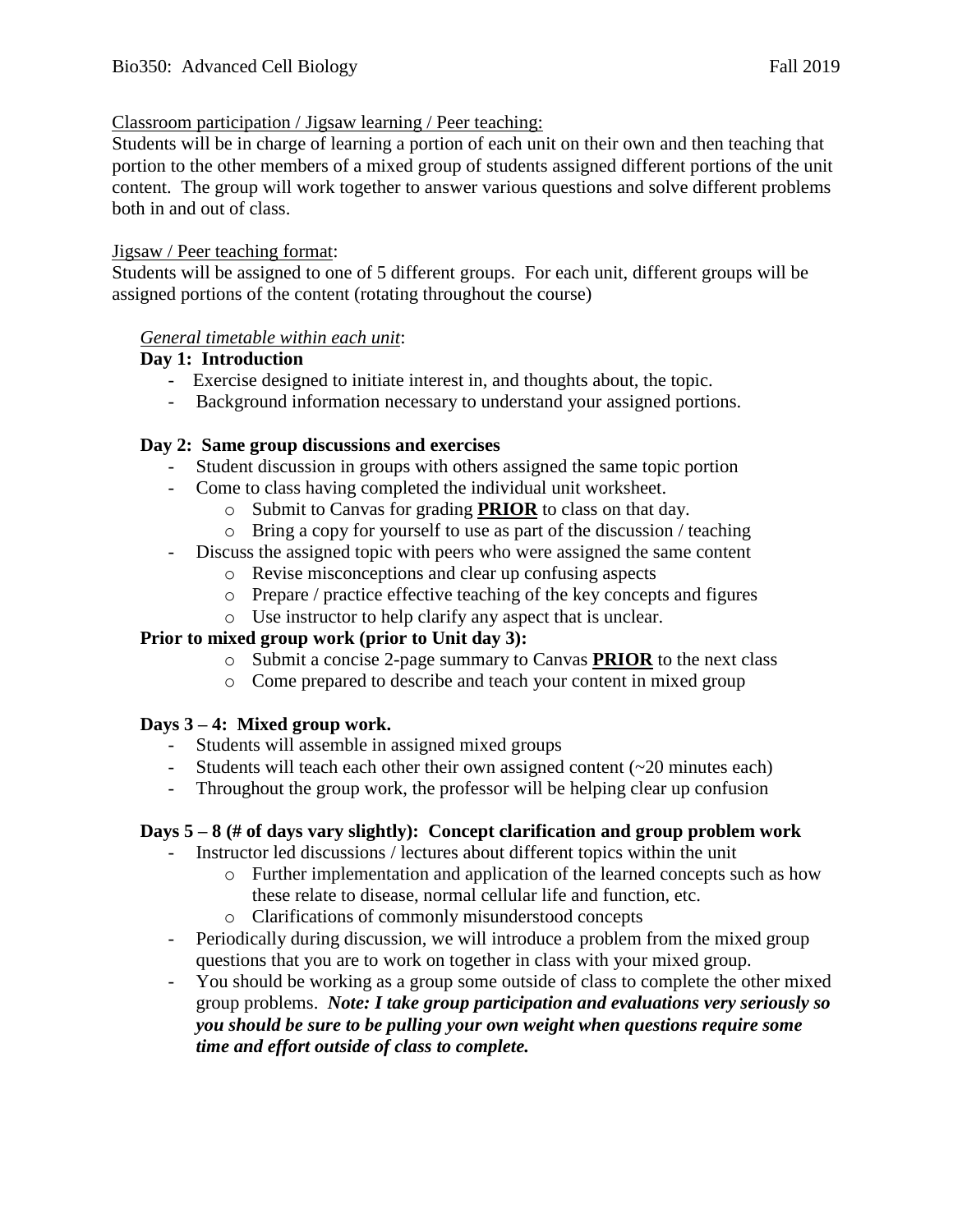#### Classroom participation / Jigsaw learning / Peer teaching:

Students will be in charge of learning a portion of each unit on their own and then teaching that portion to the other members of a mixed group of students assigned different portions of the unit content. The group will work together to answer various questions and solve different problems both in and out of class.

#### Jigsaw / Peer teaching format:

Students will be assigned to one of 5 different groups. For each unit, different groups will be assigned portions of the content (rotating throughout the course)

#### *General timetable within each unit*:

#### **Day 1: Introduction**

- Exercise designed to initiate interest in, and thoughts about, the topic.
- Background information necessary to understand your assigned portions.

#### **Day 2: Same group discussions and exercises**

- Student discussion in groups with others assigned the same topic portion
- Come to class having completed the individual unit worksheet.
	- o Submit to Canvas for grading **PRIOR** to class on that day.
	- o Bring a copy for yourself to use as part of the discussion / teaching
- Discuss the assigned topic with peers who were assigned the same content
	- o Revise misconceptions and clear up confusing aspects
	- o Prepare / practice effective teaching of the key concepts and figures
	- o Use instructor to help clarify any aspect that is unclear.

#### **Prior to mixed group work (prior to Unit day 3):**

- o Submit a concise 2-page summary to Canvas **PRIOR** to the next class
- o Come prepared to describe and teach your content in mixed group

#### **Days 3 – 4: Mixed group work.**

- Students will assemble in assigned mixed groups
- Students will teach each other their own assigned content (~20 minutes each)
- Throughout the group work, the professor will be helping clear up confusion

#### **Days 5 – 8 (# of days vary slightly): Concept clarification and group problem work**

- Instructor led discussions / lectures about different topics within the unit
	- o Further implementation and application of the learned concepts such as how these relate to disease, normal cellular life and function, etc.
	- o Clarifications of commonly misunderstood concepts
- Periodically during discussion, we will introduce a problem from the mixed group questions that you are to work on together in class with your mixed group.
- You should be working as a group some outside of class to complete the other mixed group problems. *Note: I take group participation and evaluations very seriously so you should be sure to be pulling your own weight when questions require some time and effort outside of class to complete.*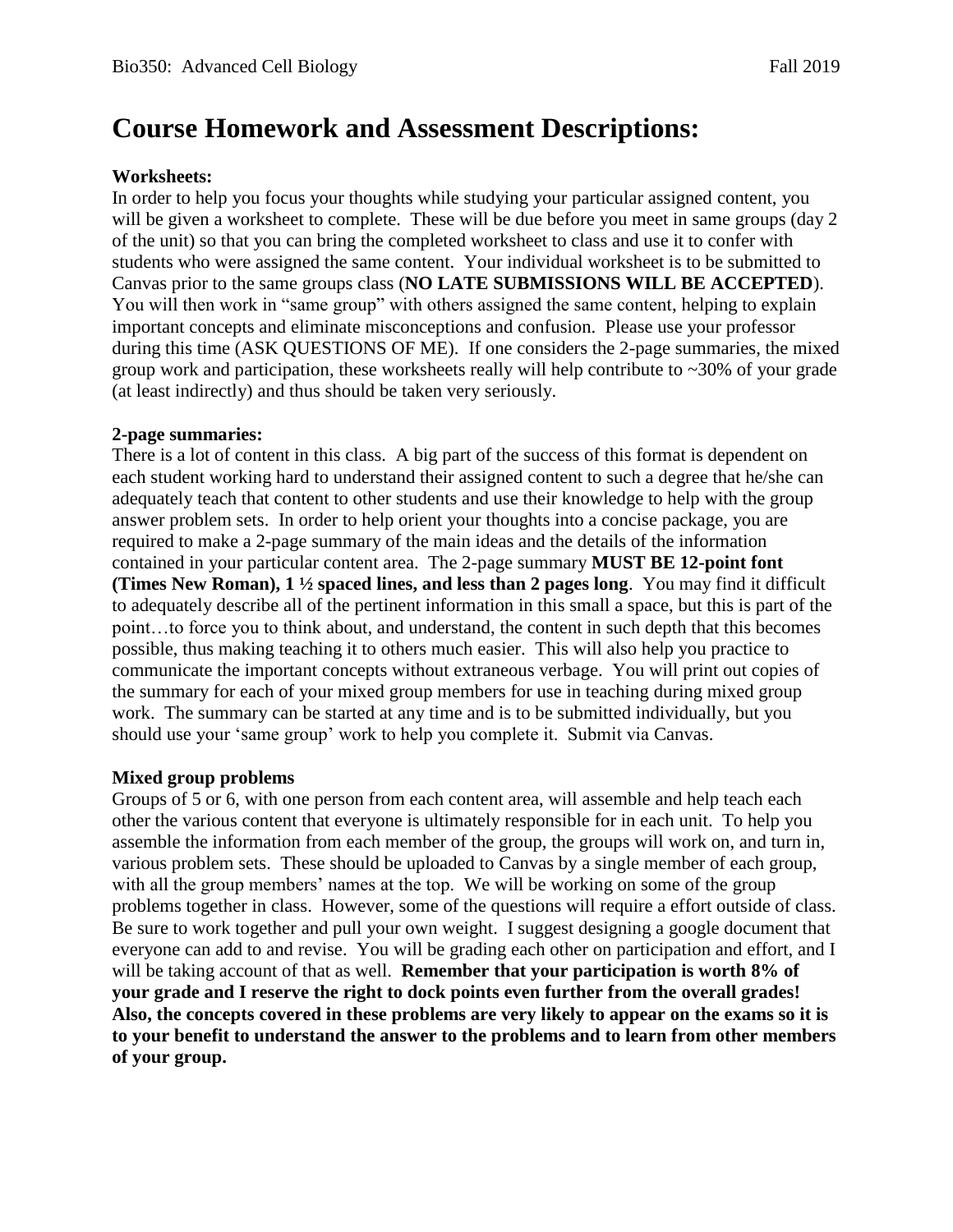# **Course Homework and Assessment Descriptions:**

#### **Worksheets:**

In order to help you focus your thoughts while studying your particular assigned content, you will be given a worksheet to complete. These will be due before you meet in same groups (day 2 of the unit) so that you can bring the completed worksheet to class and use it to confer with students who were assigned the same content. Your individual worksheet is to be submitted to Canvas prior to the same groups class (**NO LATE SUBMISSIONS WILL BE ACCEPTED**). You will then work in "same group" with others assigned the same content, helping to explain important concepts and eliminate misconceptions and confusion. Please use your professor during this time (ASK QUESTIONS OF ME). If one considers the 2-page summaries, the mixed group work and participation, these worksheets really will help contribute to ~30% of your grade (at least indirectly) and thus should be taken very seriously.

#### **2-page summaries:**

There is a lot of content in this class. A big part of the success of this format is dependent on each student working hard to understand their assigned content to such a degree that he/she can adequately teach that content to other students and use their knowledge to help with the group answer problem sets. In order to help orient your thoughts into a concise package, you are required to make a 2-page summary of the main ideas and the details of the information contained in your particular content area. The 2-page summary **MUST BE 12-point font (Times New Roman), 1 ½ spaced lines, and less than 2 pages long**. You may find it difficult to adequately describe all of the pertinent information in this small a space, but this is part of the point…to force you to think about, and understand, the content in such depth that this becomes possible, thus making teaching it to others much easier. This will also help you practice to communicate the important concepts without extraneous verbage. You will print out copies of the summary for each of your mixed group members for use in teaching during mixed group work. The summary can be started at any time and is to be submitted individually, but you should use your 'same group' work to help you complete it. Submit via Canvas.

#### **Mixed group problems**

Groups of 5 or 6, with one person from each content area, will assemble and help teach each other the various content that everyone is ultimately responsible for in each unit. To help you assemble the information from each member of the group, the groups will work on, and turn in, various problem sets. These should be uploaded to Canvas by a single member of each group, with all the group members' names at the top. We will be working on some of the group problems together in class. However, some of the questions will require a effort outside of class. Be sure to work together and pull your own weight. I suggest designing a google document that everyone can add to and revise. You will be grading each other on participation and effort, and I will be taking account of that as well. **Remember that your participation is worth 8% of your grade and I reserve the right to dock points even further from the overall grades! Also, the concepts covered in these problems are very likely to appear on the exams so it is to your benefit to understand the answer to the problems and to learn from other members of your group.**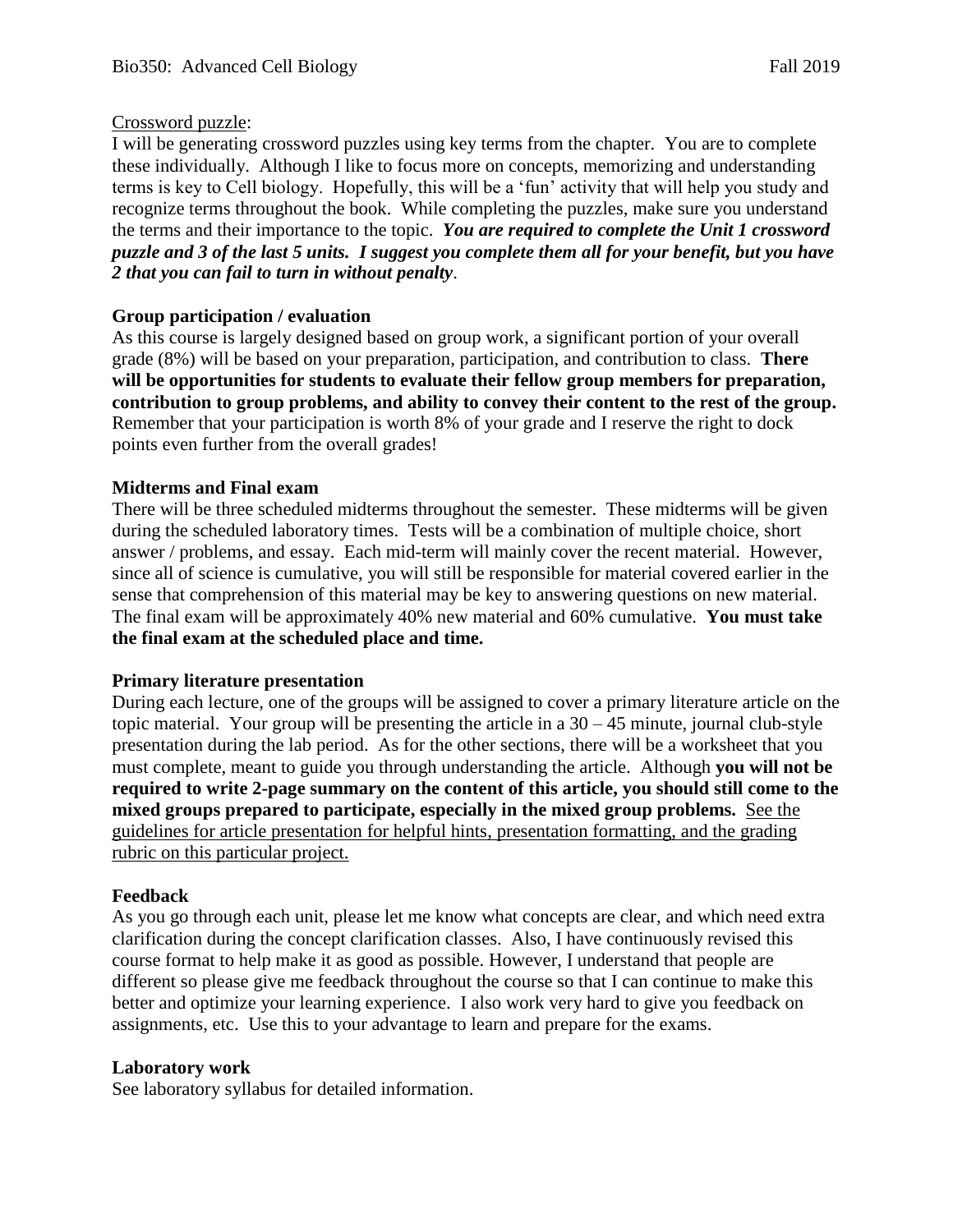#### Crossword puzzle:

I will be generating crossword puzzles using key terms from the chapter. You are to complete these individually. Although I like to focus more on concepts, memorizing and understanding terms is key to Cell biology. Hopefully, this will be a 'fun' activity that will help you study and recognize terms throughout the book. While completing the puzzles, make sure you understand the terms and their importance to the topic. *You are required to complete the Unit 1 crossword puzzle and 3 of the last 5 units. I suggest you complete them all for your benefit, but you have 2 that you can fail to turn in without penalty*.

### **Group participation / evaluation**

As this course is largely designed based on group work, a significant portion of your overall grade (8%) will be based on your preparation, participation, and contribution to class. **There will be opportunities for students to evaluate their fellow group members for preparation, contribution to group problems, and ability to convey their content to the rest of the group.**  Remember that your participation is worth 8% of your grade and I reserve the right to dock points even further from the overall grades!

#### **Midterms and Final exam**

There will be three scheduled midterms throughout the semester. These midterms will be given during the scheduled laboratory times. Tests will be a combination of multiple choice, short answer / problems, and essay. Each mid-term will mainly cover the recent material. However, since all of science is cumulative, you will still be responsible for material covered earlier in the sense that comprehension of this material may be key to answering questions on new material. The final exam will be approximately 40% new material and 60% cumulative. **You must take the final exam at the scheduled place and time.** 

#### **Primary literature presentation**

During each lecture, one of the groups will be assigned to cover a primary literature article on the topic material. Your group will be presenting the article in a  $30 - 45$  minute, journal club-style presentation during the lab period. As for the other sections, there will be a worksheet that you must complete, meant to guide you through understanding the article. Although **you will not be required to write 2-page summary on the content of this article, you should still come to the mixed groups prepared to participate, especially in the mixed group problems.** See the guidelines for article presentation for helpful hints, presentation formatting, and the grading rubric on this particular project.

#### **Feedback**

As you go through each unit, please let me know what concepts are clear, and which need extra clarification during the concept clarification classes. Also, I have continuously revised this course format to help make it as good as possible. However, I understand that people are different so please give me feedback throughout the course so that I can continue to make this better and optimize your learning experience. I also work very hard to give you feedback on assignments, etc. Use this to your advantage to learn and prepare for the exams.

#### **Laboratory work**

See laboratory syllabus for detailed information.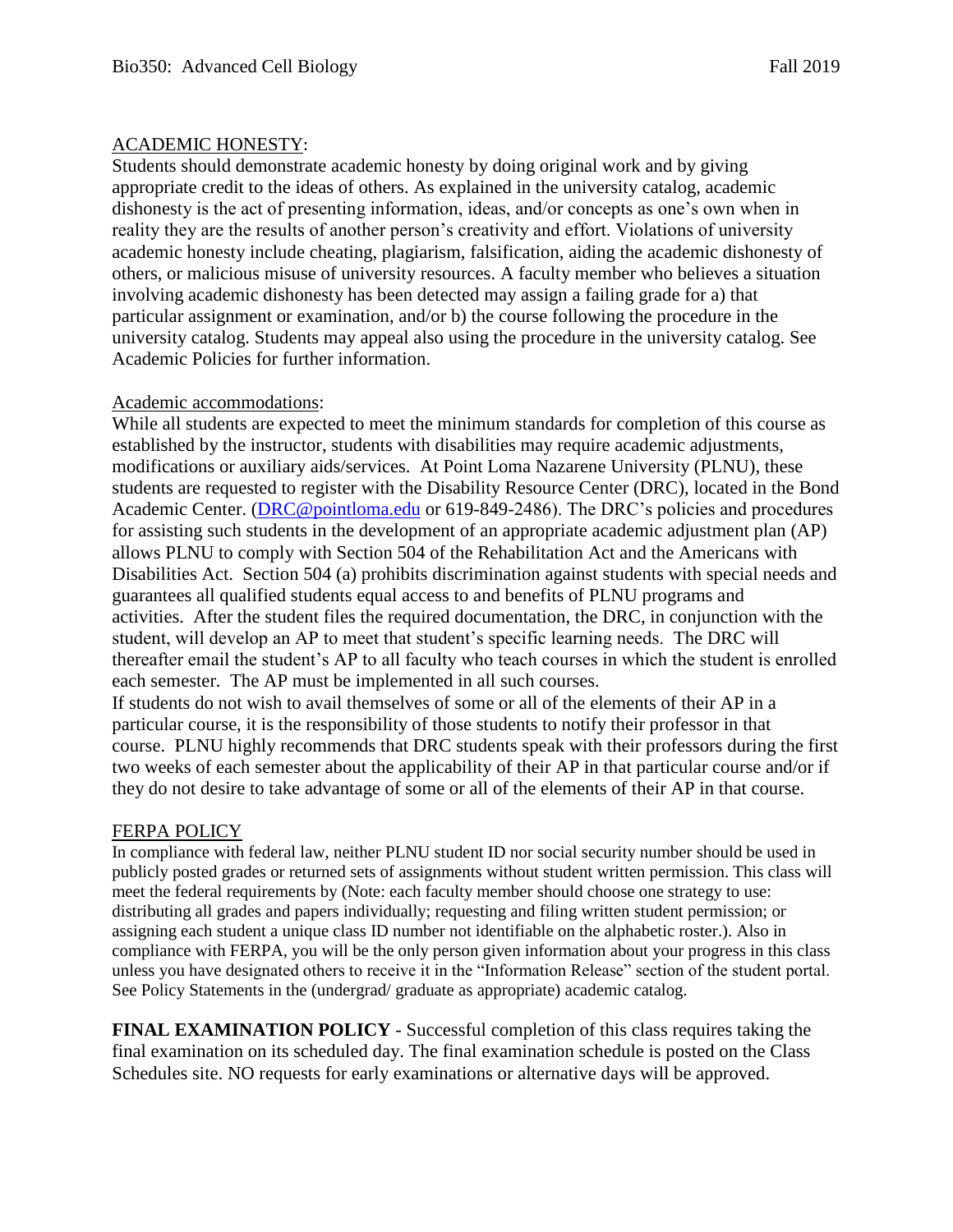#### ACADEMIC HONESTY:

Students should demonstrate academic honesty by doing original work and by giving appropriate credit to the ideas of others. As explained in the university catalog, academic dishonesty is the act of presenting information, ideas, and/or concepts as one's own when in reality they are the results of another person's creativity and effort. Violations of university academic honesty include cheating, plagiarism, falsification, aiding the academic dishonesty of others, or malicious misuse of university resources. A faculty member who believes a situation involving academic dishonesty has been detected may assign a failing grade for a) that particular assignment or examination, and/or b) the course following the procedure in the university catalog. Students may appeal also using the procedure in the university catalog. See Academic Policies for further information.

#### Academic accommodations:

While all students are expected to meet the minimum standards for completion of this course as established by the instructor, students with disabilities may require academic adjustments, modifications or auxiliary aids/services. At Point Loma Nazarene University (PLNU), these students are requested to register with the Disability Resource Center (DRC), located in the Bond Academic Center. [\(DRC@pointloma.edu](mailto:DRC@pointloma.edu) or 619-849-2486). The DRC's policies and procedures for assisting such students in the development of an appropriate academic adjustment plan (AP) allows PLNU to comply with Section 504 of the Rehabilitation Act and the Americans with Disabilities Act. Section 504 (a) prohibits discrimination against students with special needs and guarantees all qualified students equal access to and benefits of PLNU programs and activities. After the student files the required documentation, the DRC, in conjunction with the student, will develop an AP to meet that student's specific learning needs. The DRC will thereafter email the student's AP to all faculty who teach courses in which the student is enrolled each semester. The AP must be implemented in all such courses.

If students do not wish to avail themselves of some or all of the elements of their AP in a particular course, it is the responsibility of those students to notify their professor in that course. PLNU highly recommends that DRC students speak with their professors during the first two weeks of each semester about the applicability of their AP in that particular course and/or if they do not desire to take advantage of some or all of the elements of their AP in that course.

#### FERPA POLICY

In compliance with federal law, neither PLNU student ID nor social security number should be used in publicly posted grades or returned sets of assignments without student written permission. This class will meet the federal requirements by (Note: each faculty member should choose one strategy to use: distributing all grades and papers individually; requesting and filing written student permission; or assigning each student a unique class ID number not identifiable on the alphabetic roster.). Also in compliance with FERPA, you will be the only person given information about your progress in this class unless you have designated others to receive it in the "Information Release" section of the student portal. See Policy Statements in the (undergrad/ graduate as appropriate) academic catalog.

**FINAL EXAMINATION POLICY** - Successful completion of this class requires taking the final examination on its scheduled day. The final examination schedule is posted on the Class Schedules site. NO requests for early examinations or alternative days will be approved.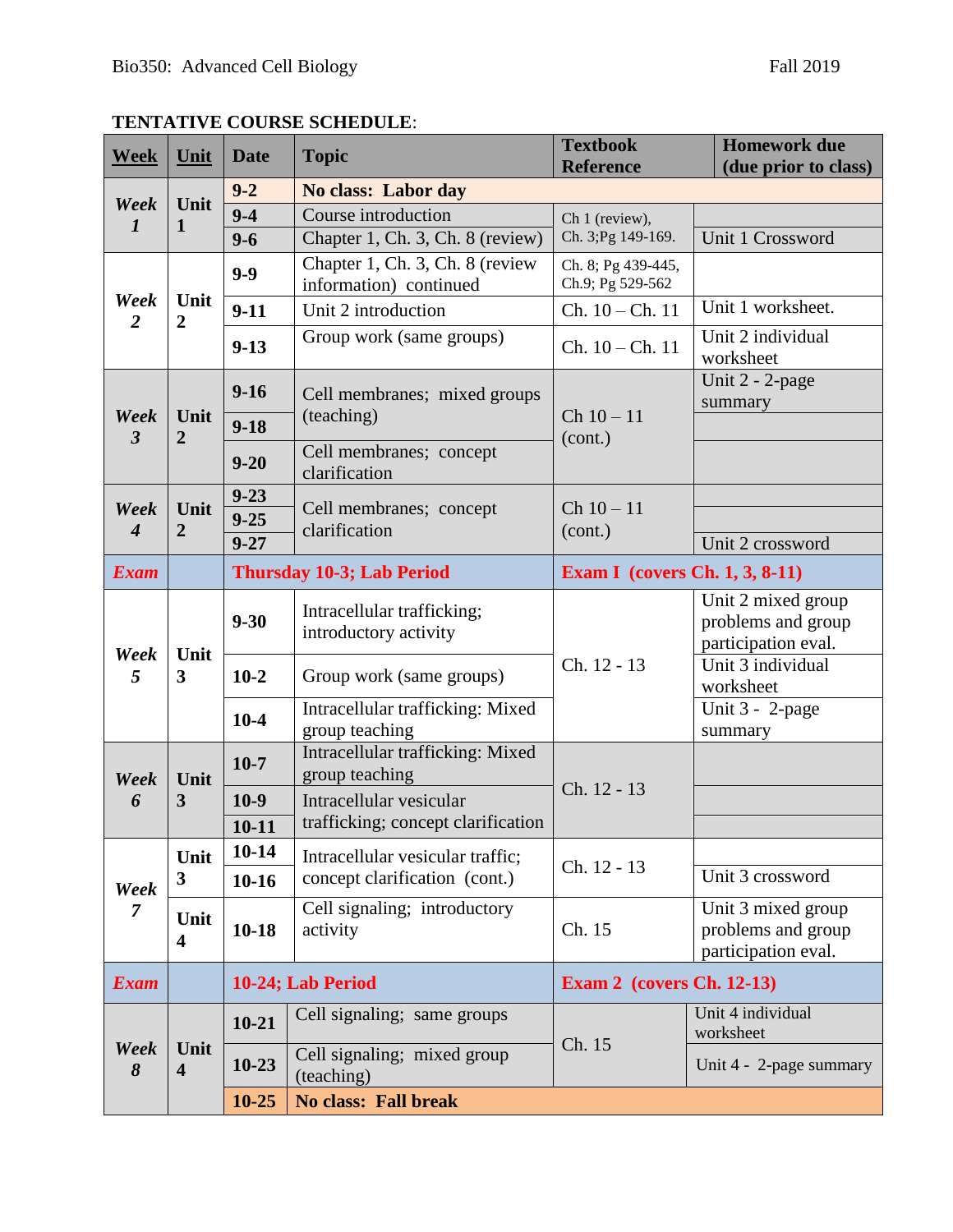## **TENTATIVE COURSE SCHEDULE**:

| <b>Week</b>              | Unit                            | <b>Date</b>               | <b>Topic</b>                                              | <b>Textbook</b><br><b>Reference</b>    | <b>Homework due</b><br>(due prior to class)                     |
|--------------------------|---------------------------------|---------------------------|-----------------------------------------------------------|----------------------------------------|-----------------------------------------------------------------|
|                          |                                 | $9 - 2$                   | No class: Labor day                                       |                                        |                                                                 |
| Week<br>$\boldsymbol{l}$ | Unit                            | $9 - 4$                   | Course introduction                                       | Ch 1 (review),                         |                                                                 |
|                          | 1                               | $9 - 6$                   | Chapter 1, Ch. 3, Ch. 8 (review)                          | Ch. 3; Pg 149-169.                     | Unit 1 Crossword                                                |
| Week<br>$\overline{2}$   | Unit<br>$\overline{2}$          | $9 - 9$                   | Chapter 1, Ch. 3, Ch. 8 (review<br>information) continued | Ch. 8; Pg 439-445,<br>Ch.9; Pg 529-562 |                                                                 |
|                          |                                 | $9-11$                    | Unit 2 introduction                                       | $Ch. 10 - Ch. 11$                      | Unit 1 worksheet.                                               |
|                          |                                 | $9-13$                    | Group work (same groups)                                  | $Ch. 10 - Ch. 11$                      | Unit 2 individual<br>worksheet                                  |
|                          |                                 | $9-16$                    | Cell membranes; mixed groups<br>(teaching)                | $Ch 10 - 11$                           | Unit 2 - 2-page<br>summary                                      |
| Week<br>$\overline{3}$   | Unit<br>2                       | $9-18$                    |                                                           | (cont.)                                |                                                                 |
|                          |                                 | $9 - 20$                  | Cell membranes; concept<br>clarification                  |                                        |                                                                 |
| Week                     | Unit                            | $9 - 23$<br>$9 - 25$      | Cell membranes; concept                                   | $Ch 10 - 11$                           |                                                                 |
| $\boldsymbol{4}$         | 2                               | $9 - 27$                  | clarification                                             | (cont.)                                | Unit 2 crossword                                                |
| <b>Exam</b>              |                                 | Thursday 10-3; Lab Period |                                                           | <b>Exam I</b> (covers Ch. 1, 3, 8-11)  |                                                                 |
| Week<br>5                | Unit<br>$\mathbf{3}$            | $9 - 30$                  | Intracellular trafficking;<br>introductory activity       |                                        | Unit 2 mixed group<br>problems and group<br>participation eval. |
|                          |                                 | $10-2$                    | Group work (same groups)                                  | Ch. 12 - 13                            | Unit 3 individual<br>worksheet                                  |
|                          |                                 | $10-4$                    | Intracellular trafficking: Mixed<br>group teaching        |                                        | Unit 3 - 2-page<br>summary                                      |
| Week<br>6                | Unit<br>3                       | $10-7$                    | Intracellular trafficking: Mixed<br>group teaching        |                                        |                                                                 |
|                          |                                 | $10-9$                    | Intracellular vesicular                                   | Ch. 12 - 13                            |                                                                 |
|                          |                                 | $10 - 11$                 | trafficking; concept clarification                        |                                        |                                                                 |
| Week<br>7                | Unit<br>$\mathbf{3}$            | $10 - 14$                 | Intracellular vesicular traffic;                          | Ch. 12 - 13                            |                                                                 |
|                          |                                 | $10-16$                   | concept clarification (cont.)                             |                                        | Unit 3 crossword                                                |
|                          | Unit<br>$\overline{\mathbf{4}}$ | $10-18$                   | Cell signaling; introductory<br>activity                  | Ch. 15                                 | Unit 3 mixed group<br>problems and group<br>participation eval. |
| <b>Exam</b>              |                                 | 10-24; Lab Period         |                                                           | <b>Exam 2</b> (covers Ch. 12-13)       |                                                                 |
| Week<br>8                | Unit<br>$\overline{\mathbf{4}}$ | $10 - 21$                 | Cell signaling; same groups                               | Ch. 15                                 | Unit 4 individual<br>worksheet                                  |
|                          |                                 | $10-23$                   | Cell signaling; mixed group<br>(teaching)                 |                                        | Unit 4 - 2-page summary                                         |
|                          |                                 | $10 - 25$                 | <b>No class: Fall break</b>                               |                                        |                                                                 |